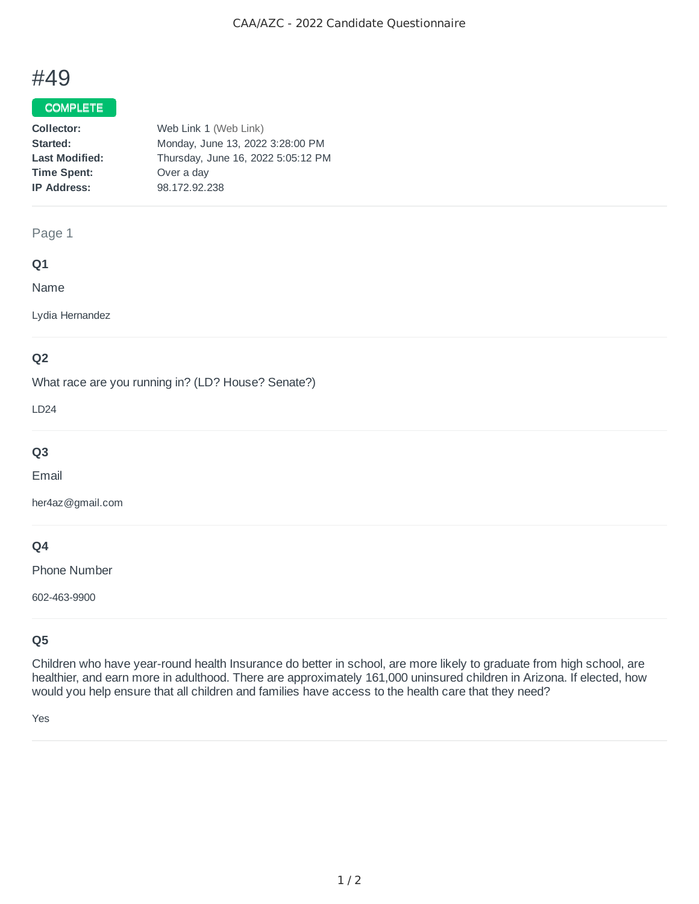# #49

## COMPLETE

| Web Link 1 (Web Link)              |
|------------------------------------|
| Monday, June 13, 2022 3:28:00 PM   |
| Thursday, June 16, 2022 5:05:12 PM |
| Over a day                         |
| 98.172.92.238                      |
|                                    |

## Page 1

#### **Q1**

Name

Lydia Hernandez

# **Q2**

What race are you running in? (LD? House? Senate?)

LD24

# **Q3**

Email

her4az@gmail.com

# **Q4**

Phone Number

602-463-9900

# **Q5**

Children who have year-round health Insurance do better in school, are more likely to graduate from high school, are healthier, and earn more in adulthood. There are approximately 161,000 uninsured children in Arizona. If elected, how would you help ensure that all children and families have access to the health care that they need?

Yes